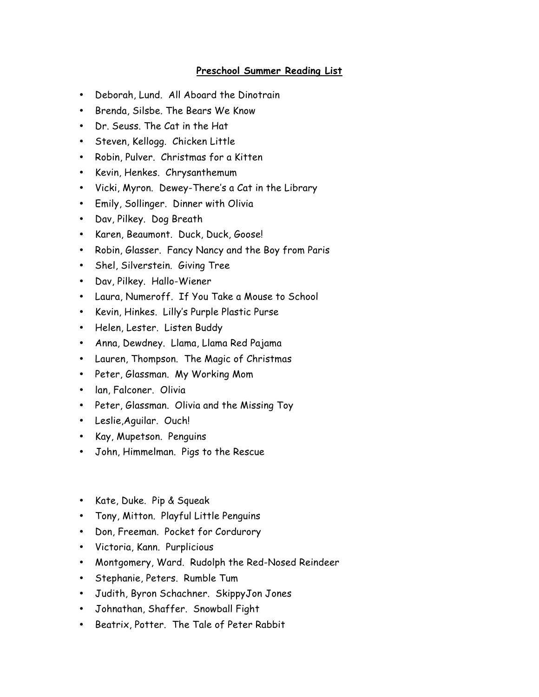## **Preschool Summer Reading List**

- Deborah, Lund. All Aboard the Dinotrain
- Brenda, Silsbe. The Bears We Know
- Dr. Seuss. The Cat in the Hat
- Steven, Kellogg. Chicken Little
- Robin, Pulver. Christmas for a Kitten
- Kevin, Henkes. Chrysanthemum
- Vicki, Myron. Dewey-There's a Cat in the Library
- Emily, Sollinger. Dinner with Olivia
- Dav, Pilkey. Dog Breath
- Karen, Beaumont. Duck, Duck, Goose!
- Robin, Glasser. Fancy Nancy and the Boy from Paris
- Shel, Silverstein. Giving Tree
- Dav, Pilkey. Hallo-Wiener
- Laura, Numeroff. If You Take a Mouse to School
- Kevin, Hinkes. Lilly's Purple Plastic Purse
- Helen, Lester. Listen Buddy
- Anna, Dewdney. Llama, Llama Red Pajama
- Lauren, Thompson. The Magic of Christmas
- Peter, Glassman. My Working Mom
- lan, Falconer. Olivia
- Peter, Glassman. Olivia and the Missing Toy
- Leslie,Aguilar. Ouch!
- Kay, Mupetson. Penguins
- John, Himmelman. Pigs to the Rescue
- Kate, Duke. Pip & Squeak
- Tony, Mitton. Playful Little Penguins
- Don, Freeman. Pocket for Cordurory
- Victoria, Kann. Purplicious
- Montgomery, Ward. Rudolph the Red-Nosed Reindeer
- Stephanie, Peters. Rumble Tum
- Judith, Byron Schachner. SkippyJon Jones
- Johnathan, Shaffer. Snowball Fight
- Beatrix, Potter. The Tale of Peter Rabbit